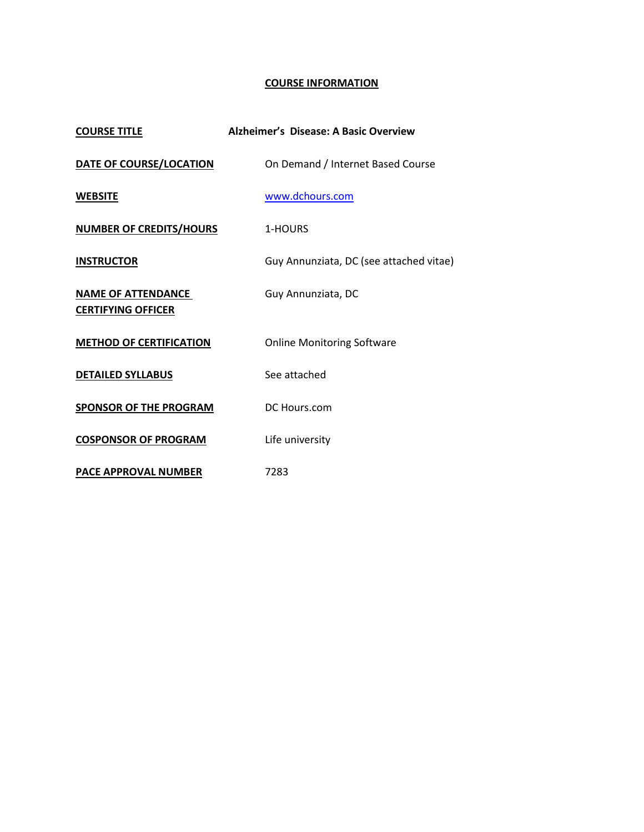## **COURSE INFORMATION**

| <b>COURSE TITLE</b>                                    | Alzheimer's Disease: A Basic Overview   |
|--------------------------------------------------------|-----------------------------------------|
| DATE OF COURSE/LOCATION                                | On Demand / Internet Based Course       |
| <b>WEBSITE</b>                                         | www.dchours.com                         |
| <b>NUMBER OF CREDITS/HOURS</b>                         | 1-HOURS                                 |
| <b>INSTRUCTOR</b>                                      | Guy Annunziata, DC (see attached vitae) |
| <b>NAME OF ATTENDANCE</b><br><b>CERTIFYING OFFICER</b> | Guy Annunziata, DC                      |
| <b>METHOD OF CERTIFICATION</b>                         | <b>Online Monitoring Software</b>       |
| <b>DETAILED SYLLABUS</b>                               | See attached                            |
| <b>SPONSOR OF THE PROGRAM</b>                          | DC Hours.com                            |
| <b>COSPONSOR OF PROGRAM</b>                            | Life university                         |
| PACE APPROVAL NUMBER                                   | 7283                                    |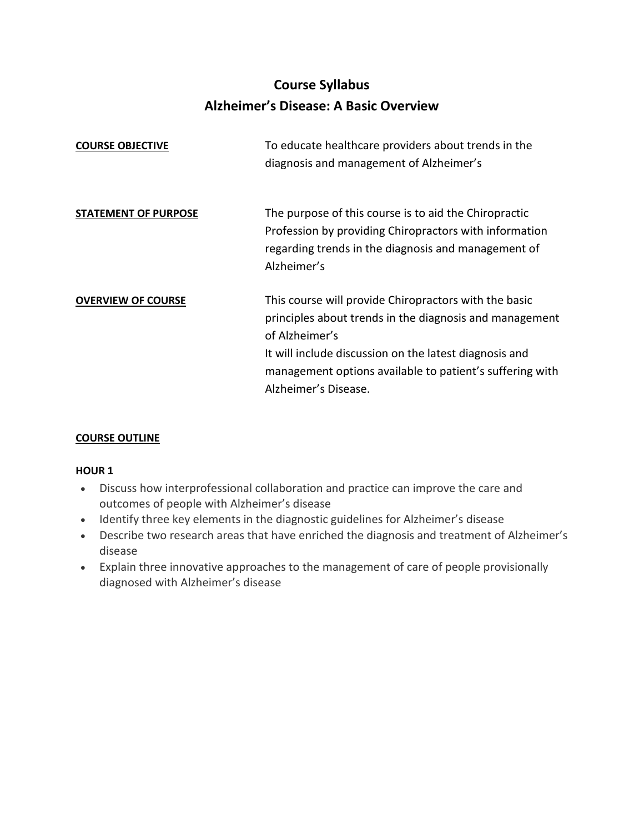# **Course Syllabus Alzheimer's Disease: A Basic Overview**

| <b>COURSE OBJECTIVE</b>     | To educate healthcare providers about trends in the<br>diagnosis and management of Alzheimer's                                                                                                                                                                                   |
|-----------------------------|----------------------------------------------------------------------------------------------------------------------------------------------------------------------------------------------------------------------------------------------------------------------------------|
| <b>STATEMENT OF PURPOSE</b> | The purpose of this course is to aid the Chiropractic<br>Profession by providing Chiropractors with information<br>regarding trends in the diagnosis and management of<br>Alzheimer's                                                                                            |
| <b>OVERVIEW OF COURSE</b>   | This course will provide Chiropractors with the basic<br>principles about trends in the diagnosis and management<br>of Alzheimer's<br>It will include discussion on the latest diagnosis and<br>management options available to patient's suffering with<br>Alzheimer's Disease. |

## **COURSE OUTLINE**

### **HOUR 1**

- Discuss how interprofessional collaboration and practice can improve the care and outcomes of people with Alzheimer's disease
- Identify three key elements in the diagnostic guidelines for Alzheimer's disease
- Describe two research areas that have enriched the diagnosis and treatment of Alzheimer's disease
- Explain three innovative approaches to the management of care of people provisionally diagnosed with Alzheimer's disease